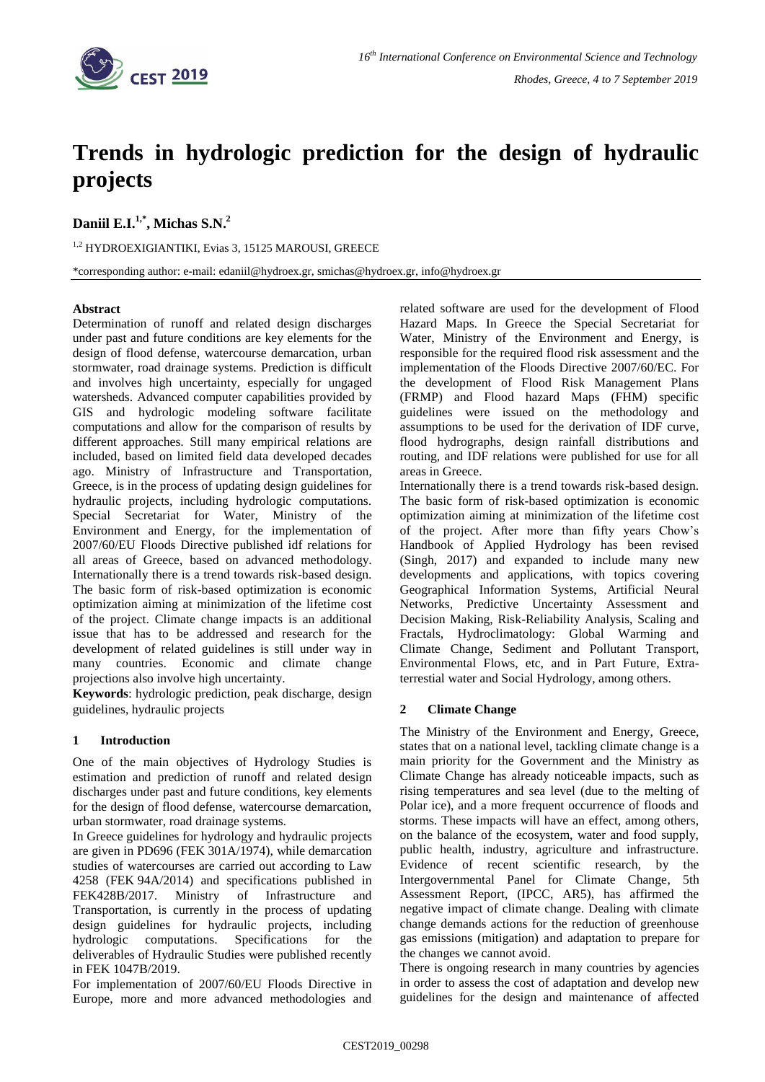

# **Trends in hydrologic prediction for the design of hydraulic projects**

**Daniil E.I.1,\* , Michas S.N. 2**

1,2 HYDROEXIGIANTIKI, Evias 3, 15125 MAROUSI, GREECE

\*corresponding author: e-mail: edaniil@hydroex.gr, smichas@hydroex.gr, info@hydroex.gr

# **Abstract**

Determination of runoff and related design discharges under past and future conditions are key elements for the design of flood defense, watercourse demarcation, urban stormwater, road drainage systems. Prediction is difficult and involves high uncertainty, especially for ungaged watersheds. Advanced computer capabilities provided by GIS and hydrologic modeling software facilitate computations and allow for the comparison of results by different approaches. Still many empirical relations are included, based on limited field data developed decades ago. Ministry of Infrastructure and Transportation, Greece, is in the process of updating design guidelines for hydraulic projects, including hydrologic computations. Special Secretariat for Water, Ministry of the Environment and Energy, for the implementation of 2007/60/EU Floods Directive published idf relations for all areas of Greece, based on advanced methodology. Internationally there is a trend towards risk-based design. The basic form of risk-based optimization is economic optimization aiming at minimization of the lifetime cost of the project. Climate change impacts is an additional issue that has to be addressed and research for the development of related guidelines is still under way in many countries. Economic and climate change projections also involve high uncertainty.

**Keywords**: hydrologic prediction, peak discharge, design guidelines, hydraulic projects

# **1 Introduction**

One of the main objectives of Hydrology Studies is estimation and prediction of runoff and related design discharges under past and future conditions, key elements for the design of flood defense, watercourse demarcation, urban stormwater, road drainage systems.

In Greece guidelines for hydrology and hydraulic projects are given in PD696 (FEK 301A/1974), while demarcation studies of watercourses are carried out according to Law 4258 (FEK 94A/2014) and specifications published in FEK428B/2017. Ministry of Infrastructure and Transportation, is currently in the process of updating design guidelines for hydraulic projects, including hydrologic computations. Specifications for the deliverables of Hydraulic Studies were published recently in FEK 1047B/2019.

For implementation of 2007/60/EU Floods Directive in Europe, more and more advanced methodologies and related software are used for the development of Flood Hazard Maps. In Greece the Special Secretariat for Water, Ministry of the Environment and Energy, is responsible for the required flood risk assessment and the implementation of the Floods Directive 2007/60/EC. For the development of Flood Risk Management Plans (FRMP) and Flood hazard Maps (FHM) specific guidelines were issued on the methodology and assumptions to be used for the derivation of IDF curve, flood hydrographs, design rainfall distributions and routing, and IDF relations were published for use for all areas in Greece.

Internationally there is a trend towards risk-based design. The basic form of risk-based optimization is economic optimization aiming at minimization of the lifetime cost of the project. After more than fifty years Chow's Handbook of Applied Hydrology has been revised (Singh, 2017) and expanded to include many new developments and applications, with topics covering Geographical Information Systems, Artificial Neural Networks, Predictive Uncertainty Assessment and Decision Making, Risk-Reliability Analysis, Scaling and Fractals, Hydroclimatology: Global Warming and Climate Change, Sediment and Pollutant Transport, Environmental Flows, etc, and in Part Future, Extraterrestial water and Social Hydrology, among others.

# **2 Climate Change**

The Ministry of the Environment and Energy, Greece, states that on a national level, tackling climate change is a main priority for the Government and the Ministry as Climate Change has already noticeable impacts, such as rising temperatures and sea level (due to the melting of Polar ice), and a more frequent occurrence of floods and storms. These impacts will have an effect, among others, on the balance of the ecosystem, water and food supply, public health, industry, agriculture and infrastructure. Evidence of recent scientific research, by the Intergovernmental Panel for Climate Change, 5th Assessment Report, (IPCC, AR5), has affirmed the negative impact of climate change. Dealing with climate change demands actions for the reduction of greenhouse gas emissions (mitigation) and adaptation to prepare for the changes we cannot avoid.

There is ongoing research in many countries by agencies in order to assess the cost of adaptation and develop new guidelines for the design and maintenance of affected